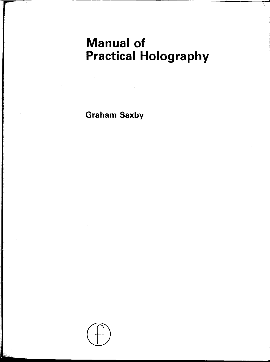# Manual of **Practical Holography**

**Graham Saxby** 

-.------------ - ---

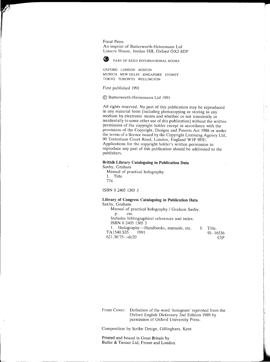Focal Press An imprint of Buttcrworth-Hcincmann Ltd Linacre House, Jordan Hill, Oxford OX2 8DP



**PART OF REED INTERNATIONAL BOOKS** 

OXfORD LONDON BOSTON MUNICH NEW DELHI SINGAPORE SYDNEY TOKYO TORONTO WELLINGTON

First publishcd 1991

© Bulterworth-Heincmann Ltd 1991

All rights reserved. No part of this publication may be reproduced in any material form (including photocopying or storing in any medium by electronic means and whether or not transiently or incidentally to some other use of this publication) without the written permission of the copyright holder except in accordance with the provisions of the Copyright, Designs and Patents Act 1988 or under the terms of a licence issued by the Copyright Licensing Agency Ltd, 90 Tottenham Court Road, London, England W1P 9HE. Applications for the copyright holder's written permission to reproduce any part of this publication should be addressed to the publishers.

### **British Library Cataloguing in Publication Data**

Saxby, Graham Manual of practical holography. I. Title 774

ISBN 0 2405 1305 3

#### **Library of** Congress **Cataloguing in Publication Data**  Saxby, Graham.

Manual of practical holography / Graham Saxby. p. cm. Includes bibliographical references and index. ISBN 0 2405 1305 3 1. Holography--Handbooks, manuals, etc.<br>A1540. S35 1991 TA1540.S35 621.36'75--dc20

I. Title. 91-16536 CIP

> j-i **International** I

ina ang pag-ang ang pag-ang ang pag-ang ang pag-ang ang pag-ang ang pag-ang ang pag-ang ang pag-ang ang pag-an<br>Taong ang pag-ang ang pag-ang ang pag-ang ang pag-ang ang pag-ang ang pag-ang ang pag-ang ang pag-ang ang pag-

Front Cover: Definition of the word 'hologram' reprinted from the Oxford English Dictionary 2nd Edition 1989 by permission of Oxford University Press.

Composition by Scribe Design, Gillingham, Kent

Printed and bound in Great Britain by Butler & Tanner Ltd, Frome and London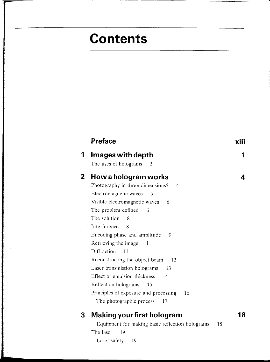# **Contents**

|              | <b>Preface</b>                                  |  |
|--------------|-------------------------------------------------|--|
| 1            | Images with depth<br>The uses of holograms<br>2 |  |
| $\mathbf{2}$ | How a hologram works                            |  |
|              | Photography in three dimensions?<br>4           |  |
|              | Electromagnetic waves<br>5                      |  |
|              | Visible electromagnetic waves<br>6              |  |
|              | The problem defined<br>6                        |  |
|              | The solution<br>8                               |  |
|              | Interference<br>8                               |  |
|              | Encoding phase and amplitude<br>9               |  |
|              | Retrieving the image<br>11                      |  |
|              | Diffraction<br>11                               |  |
|              | Reconstructing the object beam<br>12            |  |
|              | Laser transmission holograms<br>13              |  |
|              | Effect of emulsion thickness<br>14              |  |
|              | Reflection holograms<br>15                      |  |
|              | Principles of exposure and processing<br>16     |  |
|              | The photographic process<br>17                  |  |

## **3 Making your first hologram 18**

Equipment for making basic reflection holograms 18 The laser 19 Laser safety 19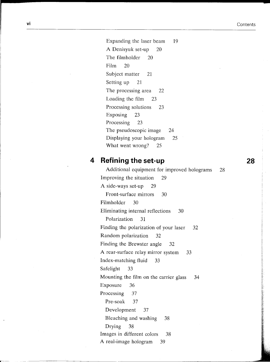Expanding the laser beam 19 A Denisyuk set-up 20 The filmholder 20 Film 20 Subject matter 21 Setting up 21 The processing area 22 Loading the film 23 Processing solutions 23 Exposing 23 Processing 23 The pseudoscopic image 24 Displaying your hologram 25 What went wrong? 25

### **4 Refining the set-up 28**

Additional equipment for improved holograms 28 Improving the situation 29 A side-ways set-up 29 Front-surface mirrors 30 Filmholder 30 Eliminating internal reflections 30 Polarization 31 Finding the polarization of your laser 32 Random polarization 32 Finding the Brewster angle 32 A rear-surface relay mirror system 33 Index-matching fluid 33 Safelight 33 Mounting the film on the carrier glass 34 Exposure 36 Processing 37 Pre-soak 37 Development 37 Bleaching and washing 38 Drying 38 Images in different colors 38 A real-image hologram 39

r--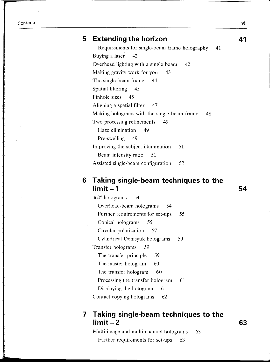### **5 Extending the horizon 41**

Requirements for single-beam frame holography 41 Buying a laser 42 Overhead lighting with a single beam 42 Making gravity work for you 43 The single-beam frame 44 Spatial filtering 45 Pinhole sizes 45 Aligning a spatial filter 47 Making holograms with the single-beam frame 48 Two processing refinements 49 Haze elimination 49 Pre-swelling 49 Improving the subject illumination 51 Beam intensity ratio 51 Assisted single-beam configuration 52

### **6 Taking single-beam techniques to the limit – 1** 54

 $360^\circ$  holograms  $54$ Overhead-beam holograms 54 Further requirements for set-ups 55 Conical holograms 55 Circular polarization 57 Cylindrical Denisyuk holograms 59 Transfer holograms 59 The transfer principle 59 The master hologram 60 The transfer hologram 60 Processing the transfer hologram 61 Displaying the hologram 61 Contact copying holograms 62

### **7 Taking single-beam techniques to the limit-2 63**

Multi-image and multi-channel holograms 63 Further requirements for set-ups 63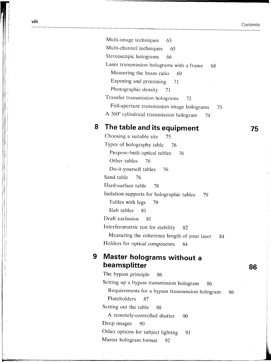Multi-image techniques 63 Multi-channel techniques 65 Stereoscopic holograms 66 Laser transmission holograms with a frame  $68$ Measuring the beam ratio 69 Exposing and processing 71 Photographic density 71 Transfer transmission holograms 72 Full-aperture transmission image holograms 73 A  $360^\circ$  cylindrical transmission hologram 74

## 8 **The table and its equipment 75**

Choosing a suitable site  $75$ Types of holography table 76 Purpose-built optical tables 76 Other tables 76 Do-it-yourself tables 76 Sand table 76 Hard-surface table 78 Isolation supports for holographic tables 79 Tables with legs 79 Slab tables 81 Draft exclusion 81 Interferometric test for stability 82 Measuring the coherence length of your laser 84 Holders for optical components 84

# **1 9 Master holograms without a**<br>**beamsplitter 86** The bypass principle 86

The bypass principle Setting up a bypass transmission hologram 86 Requirements for a bypass transmission hologram 86 Plateholders 87 Setting out the table 88 A remotely-controlled shutter 90 Deep images 90<br>Other options for subject lighting 91 Master hologram format 92

I

11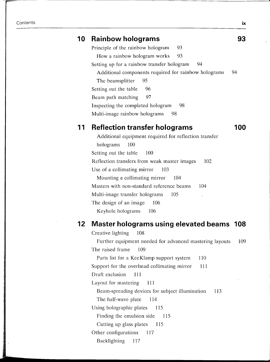### **10 Rainbow holograms 93**

Principle of the rainbow hologram 93 How a rainbow hologram works 93 Setting up for a rainbow transfer hologram 94 Additional components required for rainbow holograms 94 The beamsplitter 95 Setting out the table 96 Beam path matching 97 Inspecting the completed hologram 98 Multi-image rainbow holograms 98

### **11 Reflection transfer holograms 100**

Additional equipment required for reflection transfer holograms 100 Setting out the table 100 Reflection transfers from weak master images 102 Use of a collimating mirror 103 Mounting a collimating mirror 104 Masters with non-standard reference beams 104 Multi-image transfer holograms 105 The design of an image 106 Keyhole holograms 106

### **12 Master holograms using elevated beams 108**

Creative lighting 108 Further equipment needed for advanced mastering layouts 109 The raised frame 109 Parts list for a KeeKlamp support system 110 Support for the overhead collimating mirror 111 Draft exclusion 111 Layout for mastering 111 Beam-spreading devices for subject illumination 113 The half-wave plate 114 Using holographic plates 115 Finding the emulsion side 115 Cutting up glass plates 115 Other configurations 117 Backlighting 117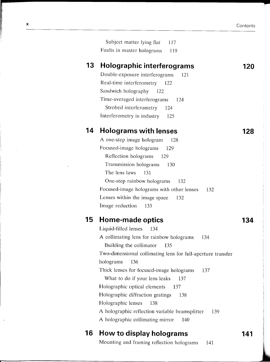**120** 

Subject matter lying flat 117 Faults in master holograms 119

### **13 Holographic interferograms**

Double-exposure interferograms 121 Real-time interferometry Sandwich holography 122 122 Time-averaged interferograms 124 Strobed interferometry 124 Interferometry in industry 125

### **14 Holograms with lenses**

A one-step image hologram 128 Focused-image holograms 129 Reflection holograms 129 Transmission holograms 130 The lens laws 131 One-step rainbow holograms 132 Focused-image holograms with other lenses 132 Lenses within the image space 132 Image reduction 133

### **15 Home-made optics**

Liquid-filled lenses 134 A collimating lens for rainbow holograms 134 Building the collimator 135 Two-dimensional collimating lens for full-aperture transfer holograms 136 Thick lenses for focused-image holograms 137 What to do if your lens leaks 137 Holographic optical elements 137 Holographic diffraction gratings 138 Holographic lenses 138 A holographic reflection variable beamsplitter 139 A holographic collimating mirror 140

### **16 How to display holograms**

Mounting and framing reflection holograms 141

### **141**

<u></u>

...

**128** 

**134**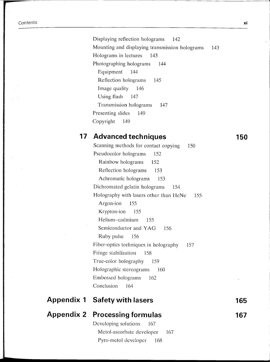Displaying reflection holograms 142 Mounting and displaying transmission holograms 143 Holograms in lectures 143 Photographing holograms 144 Equipment 144 Reflection holograms 145 Image quality 146 Using flash 147 Transmission holograms 147 Presenting slides 149 Copyright 149

### **17 Advanced techniques** 150

Scanning methods for contact copying 150 Pseudocolor holograms 152 Rainbow holograms 152 Reflection holograms 153 Achromatic holograms 153 Dichromated gelatin holograms 154 Holography with lasers other than HeNe 155 Argon-ion 155 Krypton-ion 155 Helium-cadmium 155 Semiconductor and YAG 156 Ruby pulse 156 Fiber-optics techniques in holography 157 Fringe stabilization 158 True-color holography 159 Holographic stereograms 160 Em bossed holograms 162 Conclusion 164

| <b>Appendix 1 Safety with lasers</b>  | 165 |
|---------------------------------------|-----|
| <b>Appendix 2 Processing formulas</b> | 167 |
| Developing solutions 167              |     |
| Metol-ascorbate developer 167         |     |
| Pyro-metol developer 168              |     |